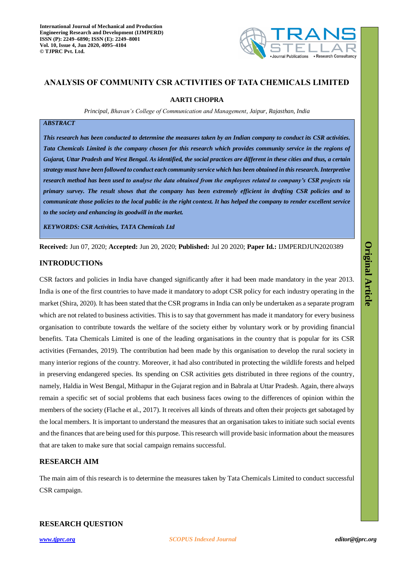

# **ANALYSIS OF COMMUNITY CSR ACTIVITIES OF TATA CHEMICALS LIMITED**

### **AARTI CHOPRA**

*Principal, Bhavan's College of Communication and Management, Jaipur, Rajasthan, India*

## *ABSTRACT*

*This research has been conducted to determine the measures taken by an Indian company to conduct its CSR activities. Tata Chemicals Limited is the company chosen for this research which provides community service in the regions of Gujarat, Uttar Pradesh and West Bengal. As identified, the social practices are different in these cities and thus, a certain strategy must have been followed to conduct each community service which has been obtained in this research. Interpretive research method has been used to analyse the data obtained from the employees related to company's CSR projects via primary survey. The result shows that the company has been extremely efficient in drafting CSR policies and to communicate those policies to the local public in the right context. It has helped the company to render excellent service to the society and enhancing its goodwill in the market.* 

*KEYWORDS: CSR Activities, TATA Chemicals Ltd*

**Received:** Jun 07, 2020; **Accepted:** Jun 20, 2020; **Published:** Jul 20 2020; **Paper Id.:** IJMPERDJUN2020389

### **INTRODUCTIONs**

CSR factors and policies in India have changed significantly after it had been made mandatory in the year 2013. India is one of the first countries to have made it mandatory to adopt CSR policy for each industry operating in the market (Shira, 2020). It has been stated that the CSR programs in India can only be undertaken as a separate program which are not related to business activities. This is to say that government has made it mandatory for every business organisation to contribute towards the welfare of the society either by voluntary work or by providing financial benefits. Tata Chemicals Limited is one of the leading organisations in the country that is popular for its CSR activities (Fernandes, 2019). The contribution had been made by this organisation to develop the rural society in many interior regions of the country. Moreover, it had also contributed in protecting the wildlife forests and helped in preserving endangered species. Its spending on CSR activities gets distributed in three regions of the country, namely, Haldia in West Bengal, Mithapur in the Gujarat region and in Babrala at Uttar Pradesh. Again, there always remain a specific set of social problems that each business faces owing to the differences of opinion within the members of the society (Flache et al., 2017). It receives all kinds of threats and often their projects get sabotaged by the local members. It is important to understand the measures that an organisation takes to initiate such social events and the finances that are being used for this purpose. This research will provide basic information about the measures that are taken to make sure that social campaign remains successful.

## **RESEARCH AIM**

The main aim of this research is to determine the measures taken by Tata Chemicals Limited to conduct successful CSR campaign.

## **RESEARCH QUESTION**

**Original Article**

**Original Article**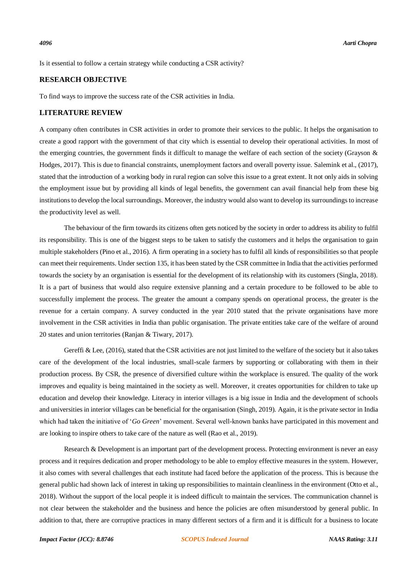Is it essential to follow a certain strategy while conducting a CSR activity?

## **RESEARCH OBJECTIVE**

To find ways to improve the success rate of the CSR activities in India.

### **LITERATURE REVIEW**

A company often contributes in CSR activities in order to promote their services to the public. It helps the organisation to create a good rapport with the government of that city which is essential to develop their operational activities. In most of the emerging countries, the government finds it difficult to manage the welfare of each section of the society (Grayson  $\&$ Hodges, 2017). This is due to financial constraints, unemployment factors and overall poverty issue. Salemink et al., (2017), stated that the introduction of a working body in rural region can solve this issue to a great extent. It not only aids in solving the employment issue but by providing all kinds of legal benefits, the government can avail financial help from these big institutions to develop the local surroundings. Moreover, the industry would also want to develop its surroundings to increase the productivity level as well.

The behaviour of the firm towards its citizens often gets noticed by the society in order to address its ability to fulfil its responsibility. This is one of the biggest steps to be taken to satisfy the customers and it helps the organisation to gain multiple stakeholders (Pino et al., 2016). A firm operating in a society has to fulfil all kinds of responsibilities so that people can meet their requirements. Under section 135, it has been stated by the CSR committee in India that the activities performed towards the society by an organisation is essential for the development of its relationship with its customers (Singla, 2018). It is a part of business that would also require extensive planning and a certain procedure to be followed to be able to successfully implement the process. The greater the amount a company spends on operational process, the greater is the revenue for a certain company. A survey conducted in the year 2010 stated that the private organisations have more involvement in the CSR activities in India than public organisation. The private entities take care of the welfare of around 20 states and union territories (Ranjan & Tiwary, 2017).

Gereffi & Lee, (2016), stated that the CSR activities are not just limited to the welfare of the society but it also takes care of the development of the local industries, small-scale farmers by supporting or collaborating with them in their production process. By CSR, the presence of diversified culture within the workplace is ensured. The quality of the work improves and equality is being maintained in the society as well. Moreover, it creates opportunities for children to take up education and develop their knowledge. Literacy in interior villages is a big issue in India and the development of schools and universities in interior villages can be beneficial for the organisation (Singh, 2019). Again, it is the private sector in India which had taken the initiative of '*Go Green*' movement. Several well-known banks have participated in this movement and are looking to inspire others to take care of the nature as well (Rao et al., 2019).

Research & Development is an important part of the development process. Protecting environment is never an easy process and it requires dedication and proper methodology to be able to employ effective measures in the system. However, it also comes with several challenges that each institute had faced before the application of the process. This is because the general public had shown lack of interest in taking up responsibilities to maintain cleanliness in the environment (Otto et al., 2018). Without the support of the local people it is indeed difficult to maintain the services. The communication channel is not clear between the stakeholder and the business and hence the policies are often misunderstood by general public. In addition to that, there are corruptive practices in many different sectors of a firm and it is difficult for a business to locate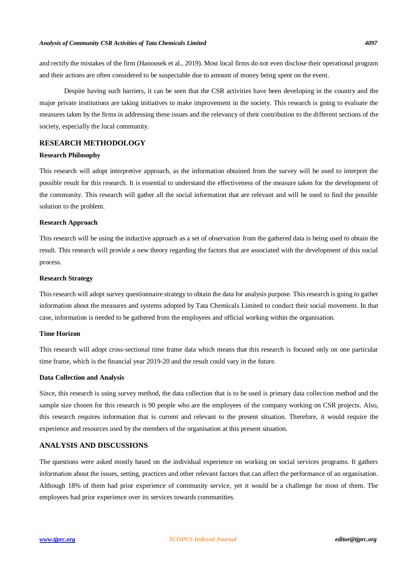and rectify the mistakes of the firm (Hanousek et al., 2019). Most local firms do not even disclose their operational program and their actions are often considered to be suspectable due to amount of money being spent on the event.

Despite having such barriers, it can be seen that the CSR activities have been developing in the country and the major private institutions are taking initiatives to make improvement in the society. This research is going to evaluate the measures taken by the firms in addressing these issues and the relevancy of their contribution to the different sections of the society, especially the local community.

## **RESEARCH METHODOLOGY**

#### **Research Philosophy**

This research will adopt interpretive approach, as the information obtained from the survey will be used to interpret the possible result for this research. It is essential to understand the effectiveness of the measure taken for the development of the community. This research will gather all the social information that are relevant and will be used to find the possible solution to the problem.

#### **Research Approach**

This research will be using the inductive approach as a set of observation from the gathered data is being used to obtain the result. This research will provide a new theory regarding the factors that are associated with the development of this social process.

#### **Research Strategy**

This research will adopt survey questionnaire strategy to obtain the data for analysis purpose. This research is going to gather information about the measures and systems adopted by Tata Chemicals Limited to conduct their social movement. In that case, information is needed to be gathered from the employees and official working within the organisation.

### **Time Horizon**

This research will adopt cross-sectional time frame data which means that this research is focused only on one particular time frame, which is the financial year 2019-20 and the result could vary in the future.

### **Data Collection and Analysis**

Since, this research is using survey method, the data collection that is to be used is primary data collection method and the sample size chosen for this research is 90 people who are the employees of the company working on CSR projects. Also, this research requires information that is current and relevant to the present situation. Therefore, it would require the experience and resources used by the members of the organisation at this present situation.

## **ANALYSIS AND DISCUSSIONS**

The questions were asked mostly based on the individual experience on working on social services programs. It gathers information about the issues, setting, practices and other relevant factors that can affect the performance of an organisation. Although 18% of them had prior experience of community service, yet it would be a challenge for most of them. The employees had prior experience over its services towards communities.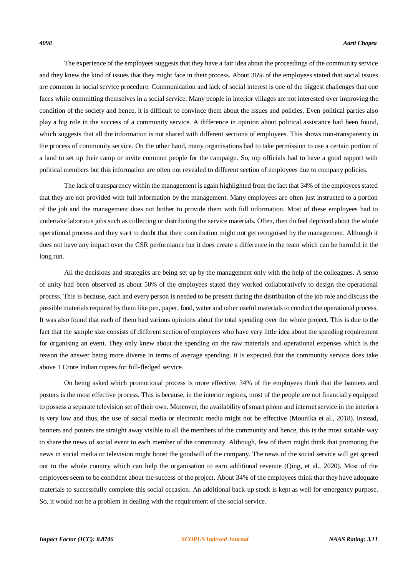The experience of the employees suggests that they have a fair idea about the proceedings of the community service and they knew the kind of issues that they might face in their process. About 36% of the employees stated that social issues are common in social service procedure. Communication and lack of social interest is one of the biggest challenges that one faces while committing themselves in a social service. Many people in interior villages are not interested over improving the condition of the society and hence, it is difficult to convince them about the issues and policies. Even political parties also play a big role in the success of a community service. A difference in opinion about political assistance had been found, which suggests that all the information is not shared with different sections of employees. This shows non-transparency in the process of community service. On the other hand, many organisations had to take permission to use a certain portion of a land to set up their camp or invite common people for the campaign. So, top officials had to have a good rapport with political members but this information are often not revealed to different section of employees due to company policies.

The lack of transparency within the management is again highlighted from the fact that 34% of the employees stated that they are not provided with full information by the management. Many employees are often just instructed to a portion of the job and the management does not bother to provide them with full information. Most of these employees had to undertake laborious jobs such as collecting or distributing the service materials. Often, then do feel deprived about the whole operational process and they start to doubt that their contribution might not get recognised by the management. Although it does not have any impact over the CSR performance but it does create a difference in the team which can be harmful in the long run.

All the decisions and strategies are being set up by the management only with the help of the colleagues. A sense of unity had been observed as about 50% of the employees stated they worked collaboratively to design the operational process. This is because, each and every person is needed to be present during the distribution of the job role and discuss the possible materials required by them like pen, paper, food, water and other useful materials to conduct the operational process. It was also found that each of them had various opinions about the total spending over the whole project. This is due to the fact that the sample size consists of different section of employees who have very little idea about the spending requirement for organising an event. They only knew about the spending on the raw materials and operational expenses which is the reason the answer being more diverse in terms of average spending. It is expected that the community service does take above 1 Crore Indian rupees for full-fledged service.

On being asked which promotional process is more effective, 34% of the employees think that the banners and posters is the most effective process. This is because, in the interior regions, most of the people are not financially equipped to possess a separate television set of their own. Moreover, the availability of smart phone and internet service in the interiors is very low and thus, the use of social media or electronic media might not be effective (Mounika et al., 2018). Instead, banners and posters are straight away visible to all the members of the community and hence, this is the most suitable way to share the news of social event to each member of the community. Although, few of them might think that promoting the news in social media or television might boost the goodwill of the company. The news of the social service will get spread out to the whole country which can help the organisation to earn additional revenue (Qing, et al., 2020). Most of the employees seem to be confident about the success of the project. About 34% of the employees think that they have adequate materials to successfully complete this social occasion. An additional back-up stock is kept as well for emergency purpose. So, it would not be a problem in dealing with the requirement of the social service.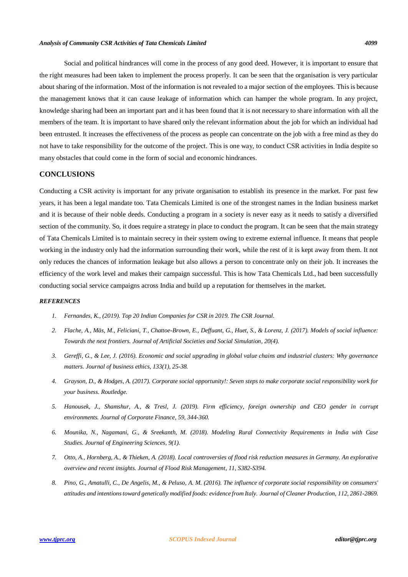Social and political hindrances will come in the process of any good deed. However, it is important to ensure that the right measures had been taken to implement the process properly. It can be seen that the organisation is very particular about sharing of the information. Most of the information is not revealed to a major section of the employees. This is because the management knows that it can cause leakage of information which can hamper the whole program. In any project, knowledge sharing had been an important part and it has been found that it is not necessary to share information with all the members of the team. It is important to have shared only the relevant information about the job for which an individual had been entrusted. It increases the effectiveness of the process as people can concentrate on the job with a free mind as they do not have to take responsibility for the outcome of the project. This is one way, to conduct CSR activities in India despite so many obstacles that could come in the form of social and economic hindrances.

## **CONCLUSIONS**

Conducting a CSR activity is important for any private organisation to establish its presence in the market. For past few years, it has been a legal mandate too. Tata Chemicals Limited is one of the strongest names in the Indian business market and it is because of their noble deeds. Conducting a program in a society is never easy as it needs to satisfy a diversified section of the community. So, it does require a strategy in place to conduct the program. It can be seen that the main strategy of Tata Chemicals Limited is to maintain secrecy in their system owing to extreme external influence. It means that people working in the industry only had the information surrounding their work, while the rest of it is kept away from them. It not only reduces the chances of information leakage but also allows a person to concentrate only on their job. It increases the efficiency of the work level and makes their campaign successful. This is how Tata Chemicals Ltd., had been successfully conducting social service campaigns across India and build up a reputation for themselves in the market.

### *REFERENCES*

- *1. Fernandes, K., (2019). Top 20 Indian Companies for CSR in 2019. The CSR Journal.*
- *2. Flache, A., Mäs, M., Feliciani, T., Chattoe-Brown, E., Deffuant, G., Huet, S., & Lorenz, J. (2017). Models of social influence: Towards the next frontiers. Journal of Artificial Societies and Social Simulation, 20(4).*
- *3. Gereffi, G., & Lee, J. (2016). Economic and social upgrading in global value chains and industrial clusters: Why governance matters. Journal of business ethics, 133(1), 25-38.*
- *4. Grayson, D., & Hodges, A. (2017). Corporate social opportunity!: Seven steps to make corporate social responsibility work for your business. Routledge.*
- *5. Hanousek, J., Shamshur, A., & Tresl, J. (2019). Firm efficiency, foreign ownership and CEO gender in corrupt environments. Journal of Corporate Finance, 59, 344-360.*
- *6. Mounika, N., Nagamani, G., & Sreekanth, M. (2018). Modeling Rural Connectivity Requirements in India with Case Studies. Journal of Engineering Sciences, 9(1).*
- *7. Otto, A., Hornberg, A., & Thieken, A. (2018). Local controversies of flood risk reduction measures in Germany. An explorative overview and recent insights. Journal of Flood Risk Management, 11, S382-S394.*
- *8. Pino, G., Amatulli, C., De Angelis, M., & Peluso, A. M. (2016). The influence of corporate social responsibility on consumers' attitudes and intentions toward genetically modified foods: evidence from Italy. Journal of Cleaner Production, 112, 2861-2869.*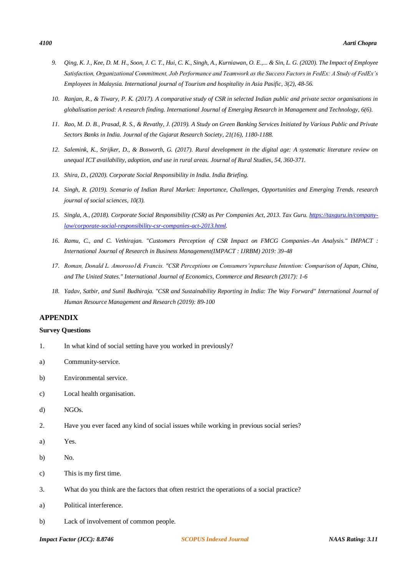- *9. Qing, K. J., Kee, D. M. H., Soon, J. C. T., Hui, C. K., Singh, A., Kurniawan, O. E.,... & Sin, L. G. (2020). The Impact of Employee Satisfaction, Organizational Commitment, Job Performance and Teamwork as the Success Factors in FedEx: A Study of FedEx's Employees in Malaysia. International journal of Tourism and hospitality in Asia Pasific, 3(2), 48-56.*
- *10. Ranjan, R., & Tiwary, P. K. (2017). A comparative study of CSR in selected Indian public and private sector organisations in globalisation period: A research finding. International Journal of Emerging Research in Management and Technology, 6(6).*
- *11. Rao, M. D. B., Prasad, R. S., & Revathy, J. (2019). A Study on Green Banking Services Initiated by Various Public and Private Sectors Banks in India. Journal of the Gujarat Research Society, 21(16), 1180-1188.*
- *12. Salemink, K., Strijker, D., & Bosworth, G. (2017). Rural development in the digital age: A systematic literature review on unequal ICT availability, adoption, and use in rural areas. Journal of Rural Studies, 54, 360-371.*
- *13. Shira, D., (2020). Corporate Social Responsibility in India. India Briefing.*
- *14. Singh, R. (2019). Scenario of Indian Rural Market: Importance, Challenges, Opportunities and Emerging Trends. research journal of social sciences, 10(3).*
- *15. Singla, A., (2018). Corporate Social Responsibility (CSR) as Per Companies Act, 2013. Tax Guru[. https://taxguru.in/company](https://taxguru.in/company-law/corporate-social-responsibility-csr-companies-act-2013.html)[law/corporate-social-responsibility-csr-companies-act-2013.html.](https://taxguru.in/company-law/corporate-social-responsibility-csr-companies-act-2013.html)*
- *16. Ramu, C., and C. Vethirajan. "Customers Perception of CSR Impact on FMCG Companies–An Analysis." IMPACT : International Journal of Research in Business Management(IMPACT : IJRBM) 2019: 39-48*
- *17. Roman, Donald L. Amoroso1& Francis. "CSR Perceptions on Consumers'repurchase Intention: Comparison of Japan, China, and The United States." International Journal of Economics, Commerce and Research (2017): 1-6*
- *18. Yadav, Satbir, and Sunil Budhiraja. "CSR and Sustainability Reporting in India: The Way Forward" International Journal of Human Resource Management and Research (2019): 89-100*

## **APPENDIX**

## **Survey Questions**

- 1. In what kind of social setting have you worked in previously?
- a) Community-service.
- b) Environmental service.
- c) Local health organisation.
- d) NGOs.
- 2. Have you ever faced any kind of social issues while working in previous social series?
- a) Yes.
- b) No.
- c) This is my first time.
- 3. What do you think are the factors that often restrict the operations of a social practice?
- a) Political interference.
- b) Lack of involvement of common people.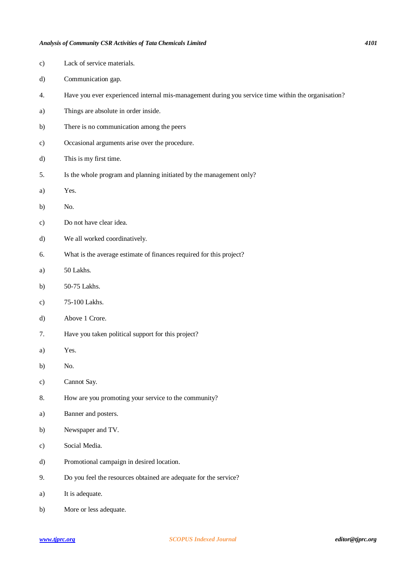c) Lack of service materials.

d) Communication gap.

| a)            | Things are absolute in order inside.                                |
|---------------|---------------------------------------------------------------------|
| b)            | There is no communication among the peers                           |
| $\mathbf{c})$ | Occasional arguments arise over the procedure.                      |
| d)            | This is my first time.                                              |
| 5.            | Is the whole program and planning initiated by the management only? |
| a)            | Yes.                                                                |
| b)            | No.                                                                 |
| $\mathbf{c})$ | Do not have clear idea.                                             |
| d)            | We all worked coordinatively.                                       |
| 6.            | What is the average estimate of finances required for this project? |
| a)            | 50 Lakhs.                                                           |
| b)            | 50-75 Lakhs.                                                        |
| $\mathbf{c})$ | 75-100 Lakhs.                                                       |
| d)            | Above 1 Crore.                                                      |
|               |                                                                     |

4. Have you ever experienced internal mis-management during you service time within the organisation?

7. Have you taken political support for this project?

- a) Yes.
- b) No.
- c) Cannot Say.
- 8. How are you promoting your service to the community?
- a) Banner and posters.
- b) Newspaper and TV.
- c) Social Media.
- d) Promotional campaign in desired location.
- 9. Do you feel the resources obtained are adequate for the service?
- a) It is adequate.
- b) More or less adequate.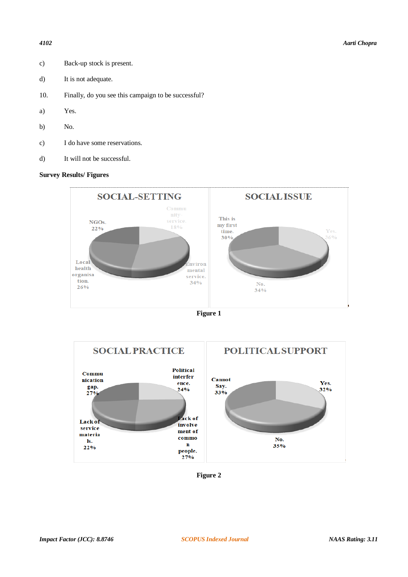- c) Back-up stock is present.
- d) It is not adequate.
- 10. Finally, do you see this campaign to be successful?
- a) Yes.
- b) No.
- c) I do have some reservations.
- d) It will not be successful.

## **Survey Results/ Figures**







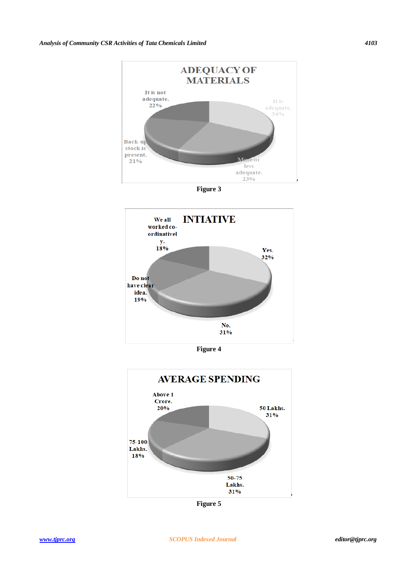

**Figure 3**



**Figure 4**



**Figure 5**